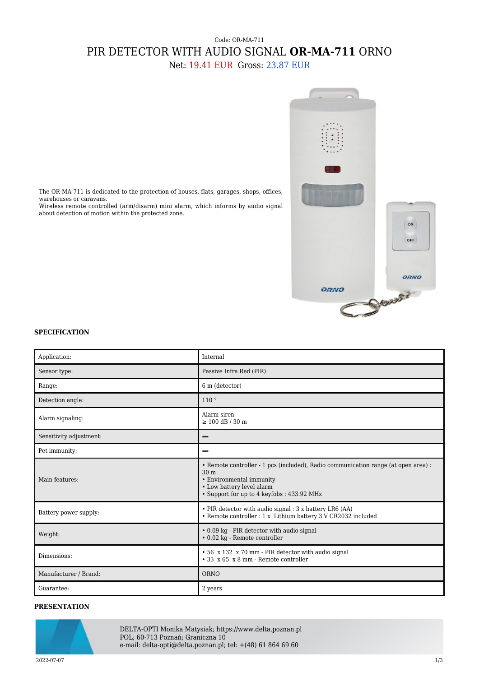## Code: OR-MA-711 PIR DETECTOR WITH AUDIO SIGNAL **OR-MA-711** ORNO

Net: 19.41 EUR Gross: 23.87 EUR



The OR-MA-711 is dedicated to the protection of houses, flats, garages, shops, offices, warehouses or caravans.

Wireless remote controlled (arm/disarm) mini alarm, which informs by audio signal about detection of motion within the protected zone.

## **SPECIFICATION**

| Application:            | Internal                                                                                                                                                                                                     |
|-------------------------|--------------------------------------------------------------------------------------------------------------------------------------------------------------------------------------------------------------|
|                         |                                                                                                                                                                                                              |
| Sensor type:            | Passive Infra Red (PIR)                                                                                                                                                                                      |
| Range:                  | 6 m (detector)                                                                                                                                                                                               |
| Detection angle:        | 110°                                                                                                                                                                                                         |
| Alarm signaling:        | Alarm siren<br>$\geq 100$ dB / 30 m                                                                                                                                                                          |
| Sensitivity adjustment: |                                                                                                                                                                                                              |
| Pet immunity:           |                                                                                                                                                                                                              |
| Main features:          | • Remote controller - 1 pcs (included), Radio communication range (at open area) :<br>30 <sub>m</sub><br>• Environmental immunity<br>• Low battery level alarm<br>• Support for up to 4 keyfobs : 433.92 MHz |
| Battery power supply:   | • PIR detector with audio signal : 3 x battery LR6 (AA)<br><br>• Remote controller : 1 x Lithium battery 3 V CR2032 included                                                                                 |
| Weight:                 | • 0.09 kg - PIR detector with audio signal<br>· 0.02 kg - Remote controller                                                                                                                                  |
| Dimensions:             | • 56 x 132 x 70 mm - PIR detector with audio signal<br>$\cdot$ 33 x 65 x 8 mm - Remote controller                                                                                                            |
| Manufacturer / Brand:   | ORNO                                                                                                                                                                                                         |
| Guarantee:              | 2 years                                                                                                                                                                                                      |

## **PRESENTATION**



DELTA-OPTI Monika Matysiak; https://www.delta.poznan.pl POL; 60-713 Poznań; Graniczna 10 e-mail: delta-opti@delta.poznan.pl; tel: +(48) 61 864 69 60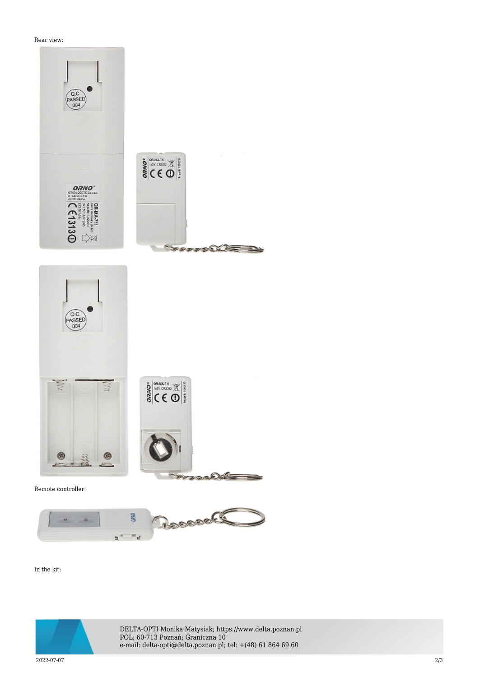Rear view:





In the kit:



DELTA-OPTI Monika Matysiak; https://www.delta.poznan.pl POL; 60-713 Poznań; Graniczna 10 e-mail: delta-opti@delta.poznan.pl; tel: +(48) 61 864 69 60

2022-07-07 2/3